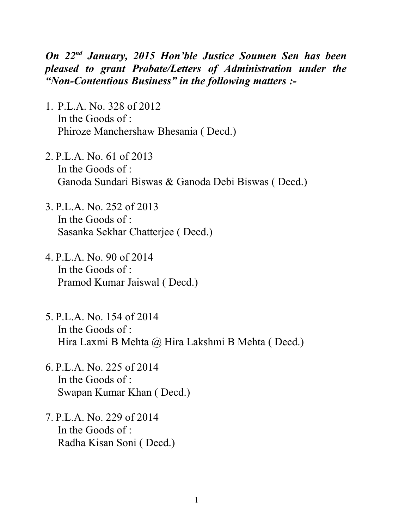*On 22nd January, 2015 Hon'ble Justice Soumen Sen has been pleased to grant Probate/Letters of Administration under the "Non-Contentious Business" in the following matters :-*

- 1. P.L.A. No. 328 of 2012 In the Goods of : Phiroze Manchershaw Bhesania ( Decd.)
- 2. P.L.A. No. 61 of 2013 In the Goods of : Ganoda Sundari Biswas & Ganoda Debi Biswas ( Decd.)
- 3. P.L.A. No. 252 of 2013 In the Goods of : Sasanka Sekhar Chatterjee ( Decd.)
- 4. P.L.A. No. 90 of 2014 In the Goods of : Pramod Kumar Jaiswal ( Decd.)
- 5. P.L.A. No. 154 of 2014 In the Goods of : Hira Laxmi B Mehta @ Hira Lakshmi B Mehta ( Decd.)
- 6. P.L.A. No. 225 of 2014 In the Goods of : Swapan Kumar Khan ( Decd.)
- 7. P.L.A. No. 229 of 2014 In the Goods of : Radha Kisan Soni ( Decd.)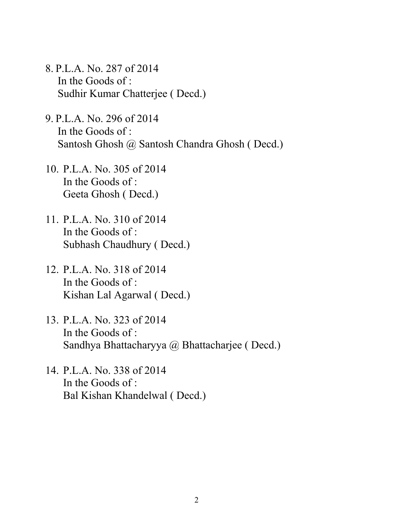- 8. P.L.A. No. 287 of 2014 In the Goods of : Sudhir Kumar Chatterjee ( Decd.)
- 9. P.L.A. No. 296 of 2014 In the Goods of : Santosh Ghosh @ Santosh Chandra Ghosh ( Decd.)
- 10. P.L.A. No. 305 of 2014 In the Goods of : Geeta Ghosh ( Decd.)
- 11. P.L.A. No. 310 of 2014 In the Goods of : Subhash Chaudhury ( Decd.)
- 12. P.L.A. No. 318 of 2014 In the Goods of : Kishan Lal Agarwal ( Decd.)
- 13. P.L.A. No. 323 of 2014 In the Goods of : Sandhya Bhattacharyya @ Bhattacharjee ( Decd.)
- 14. P.L.A. No. 338 of 2014 In the Goods of : Bal Kishan Khandelwal ( Decd.)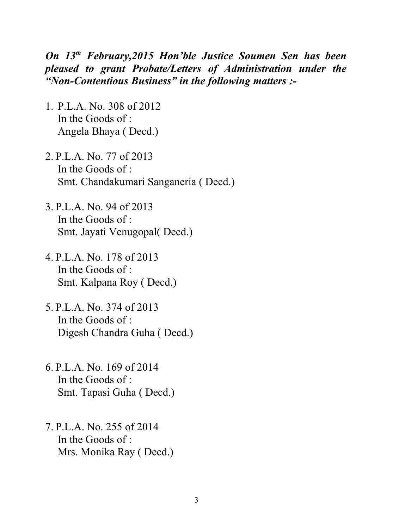## *On 13th February,2015 Hon'ble Justice Soumen Sen has been pleased to grant Probate/Letters of Administration under the "Non-Contentious Business" in the following matters :-*

- 1. P.L.A. No. 308 of 2012 In the Goods of : Angela Bhaya ( Decd.)
- 2. P.L.A. No. 77 of 2013 In the Goods of : Smt. Chandakumari Sanganeria ( Decd.)
- 3. P.L.A. No. 94 of 2013 In the Goods of : Smt. Jayati Venugopal( Decd.)
- 4. P.L.A. No. 178 of 2013 In the Goods of : Smt. Kalpana Roy ( Decd.)
- 5. P.L.A. No. 374 of 2013 In the Goods of : Digesh Chandra Guha ( Decd.)
- 6. P.L.A. No. 169 of 2014 In the Goods of : Smt. Tapasi Guha ( Decd.)
- 7. P.L.A. No. 255 of 2014 In the Goods of : Mrs. Monika Ray ( Decd.)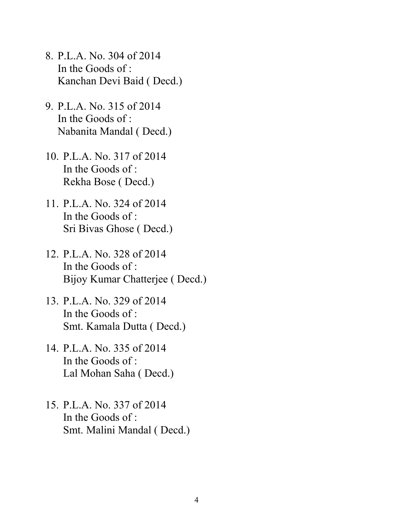- 8. P.L.A. No. 304 of 2014 In the Goods of : Kanchan Devi Baid ( Decd.)
- 9. P.L.A. No. 315 of 2014 In the Goods of : Nabanita Mandal ( Decd.)
- 10. P.L.A. No. 317 of 2014 In the Goods of : Rekha Bose ( Decd.)
- 11. P.L.A. No. 324 of 2014 In the Goods of : Sri Bivas Ghose ( Decd.)
- 12. P.L.A. No. 328 of 2014 In the Goods of : Bijoy Kumar Chatterjee ( Decd.)
- 13. P.L.A. No. 329 of 2014 In the Goods of : Smt. Kamala Dutta ( Decd.)
- 14. P.L.A. No. 335 of 2014 In the Goods of : Lal Mohan Saha ( Decd.)
- 15. P.L.A. No. 337 of 2014 In the Goods of : Smt. Malini Mandal ( Decd.)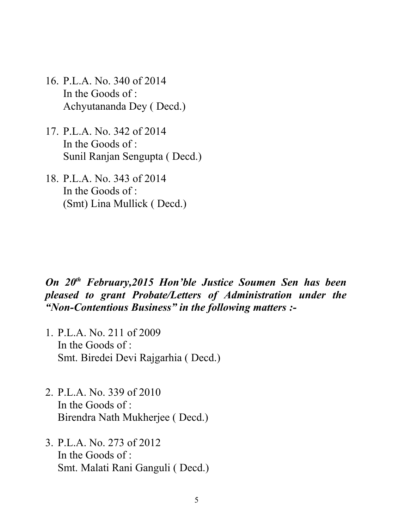- 16. P.L.A. No. 340 of 2014 In the Goods of : Achyutananda Dey ( Decd.)
- 17. P.L.A. No. 342 of 2014 In the Goods of : Sunil Ranjan Sengupta ( Decd.)
- 18. P.L.A. No. 343 of 2014 In the Goods of : (Smt) Lina Mullick ( Decd.)

## *On 20th February,2015 Hon'ble Justice Soumen Sen has been pleased to grant Probate/Letters of Administration under the "Non-Contentious Business" in the following matters :-*

- 1. P.L.A. No. 211 of 2009 In the Goods of : Smt. Biredei Devi Rajgarhia ( Decd.)
- 2. P.L.A. No. 339 of 2010 In the Goods of : Birendra Nath Mukherjee ( Decd.)
- 3. P.L.A. No. 273 of 2012 In the Goods of : Smt. Malati Rani Ganguli ( Decd.)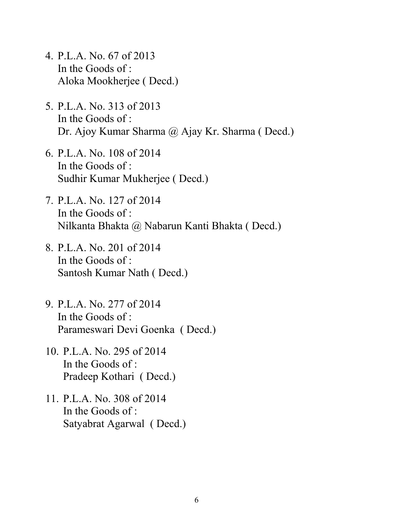- 4. P.L.A. No. 67 of 2013 In the Goods of : Aloka Mookherjee ( Decd.)
- 5. P.L.A. No. 313 of 2013 In the Goods of : Dr. Ajoy Kumar Sharma @ Ajay Kr. Sharma (Decd.)
- 6. P.L.A. No. 108 of 2014 In the Goods of : Sudhir Kumar Mukherjee ( Decd.)
- 7. P.L.A. No. 127 of 2014 In the Goods of : Nilkanta Bhakta @ Nabarun Kanti Bhakta ( Decd.)
- 8. P.L.A. No. 201 of 2014 In the Goods of : Santosh Kumar Nath ( Decd.)
- 9. P.L.A. No. 277 of 2014 In the Goods of : Parameswari Devi Goenka ( Decd.)
- 10. P.L.A. No. 295 of 2014 In the Goods of : Pradeep Kothari ( Decd.)
- 11. P.L.A. No. 308 of 2014 In the Goods of : Satyabrat Agarwal ( Decd.)